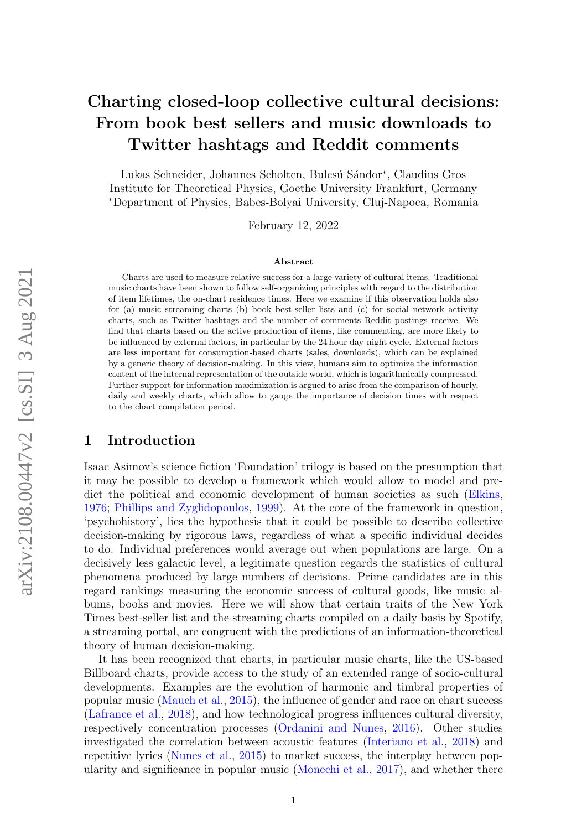# Charting closed-loop collective cultural decisions: From book best sellers and music downloads to Twitter hashtags and Reddit comments

Lukas Schneider, Johannes Scholten, Bulcsú Sándor<sup>∗</sup>, Claudius Gros Institute for Theoretical Physics, Goethe University Frankfurt, Germany <sup>∗</sup>Department of Physics, Babes-Bolyai University, Cluj-Napoca, Romania

February 12, 2022

#### Abstract

Charts are used to measure relative success for a large variety of cultural items. Traditional music charts have been shown to follow self-organizing principles with regard to the distribution of item lifetimes, the on-chart residence times. Here we examine if this observation holds also for (a) music streaming charts (b) book best-seller lists and (c) for social network activity charts, such as Twitter hashtags and the number of comments Reddit postings receive. We find that charts based on the active production of items, like commenting, are more likely to be influenced by external factors, in particular by the 24 hour day-night cycle. External factors are less important for consumption-based charts (sales, downloads), which can be explained by a generic theory of decision-making. In this view, humans aim to optimize the information content of the internal representation of the outside world, which is logarithmically compressed. Further support for information maximization is argued to arise from the comparison of hourly, daily and weekly charts, which allow to gauge the importance of decision times with respect to the chart compilation period.

### 1 Introduction

Isaac Asimov's science fiction 'Foundation' trilogy is based on the presumption that it may be possible to develop a framework which would allow to model and predict the political and economic development of human societies as such [\(Elkins,](#page-13-0) [1976;](#page-13-0) [Phillips and Zyglidopoulos,](#page-14-0) [1999\)](#page-14-0). At the core of the framework in question, 'psychohistory', lies the hypothesis that it could be possible to describe collective decision-making by rigorous laws, regardless of what a specific individual decides to do. Individual preferences would average out when populations are large. On a decisively less galactic level, a legitimate question regards the statistics of cultural phenomena produced by large numbers of decisions. Prime candidates are in this regard rankings measuring the economic success of cultural goods, like music albums, books and movies. Here we will show that certain traits of the New York Times best-seller list and the streaming charts compiled on a daily basis by Spotify, a streaming portal, are congruent with the predictions of an information-theoretical theory of human decision-making.

It has been recognized that charts, in particular music charts, like the US-based Billboard charts, provide access to the study of an extended range of socio-cultural developments. Examples are the evolution of harmonic and timbral properties of popular music [\(Mauch et al.,](#page-14-1) [2015\)](#page-14-1), the influence of gender and race on chart success [\(Lafrance et al.,](#page-13-1) [2018\)](#page-13-1), and how technological progress influences cultural diversity, respectively concentration processes [\(Ordanini and Nunes,](#page-14-2) [2016\)](#page-14-2). Other studies investigated the correlation between acoustic features [\(Interiano et al.,](#page-13-2) [2018\)](#page-13-2) and repetitive lyrics [\(Nunes et al.,](#page-14-3) [2015\)](#page-14-3) to market success, the interplay between popularity and significance in popular music [\(Monechi et al.,](#page-14-4) [2017\)](#page-14-4), and whether there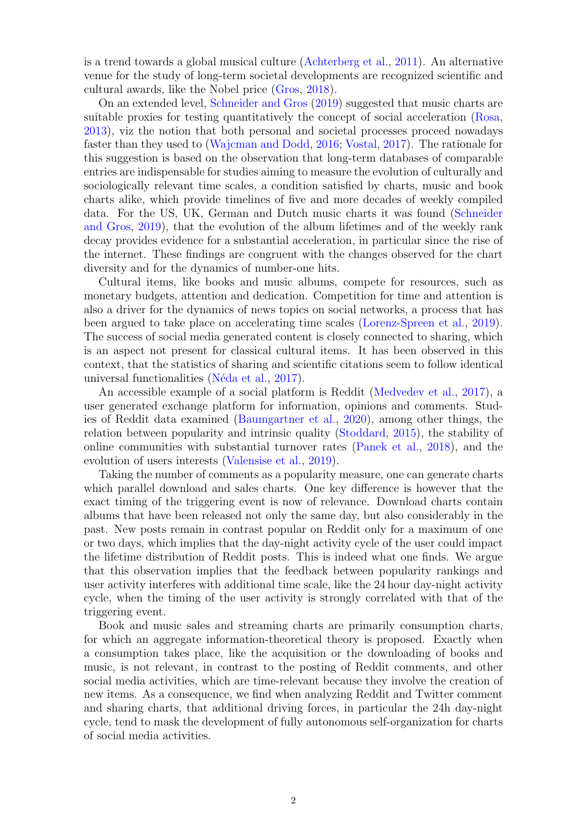is a trend towards a global musical culture [\(Achterberg et al.,](#page-12-0) [2011\)](#page-12-0). An alternative venue for the study of long-term societal developments are recognized scientific and cultural awards, like the Nobel price [\(Gros,](#page-13-3) [2018\)](#page-13-3).

On an extended level, [Schneider and Gros](#page-14-5) [\(2019\)](#page-14-5) suggested that music charts are suitable proxies for testing quantitatively the concept of social acceleration [\(Rosa,](#page-14-6) [2013\)](#page-14-6), viz the notion that both personal and societal processes proceed nowadays faster than they used to [\(Wajcman and Dodd,](#page-15-0) [2016;](#page-15-0) [Vostal,](#page-14-7) [2017\)](#page-14-7). The rationale for this suggestion is based on the observation that long-term databases of comparable entries are indispensable for studies aiming to measure the evolution of culturally and sociologically relevant time scales, a condition satisfied by charts, music and book charts alike, which provide timelines of five and more decades of weekly compiled data. For the US, UK, German and Dutch music charts it was found [\(Schneider](#page-14-5) [and Gros,](#page-14-5) [2019\)](#page-14-5), that the evolution of the album lifetimes and of the weekly rank decay provides evidence for a substantial acceleration, in particular since the rise of the internet. These findings are congruent with the changes observed for the chart diversity and for the dynamics of number-one hits.

Cultural items, like books and music albums, compete for resources, such as monetary budgets, attention and dedication. Competition for time and attention is also a driver for the dynamics of news topics on social networks, a process that has been argued to take place on accelerating time scales [\(Lorenz-Spreen et al.,](#page-13-4) [2019\)](#page-13-4). The success of social media generated content is closely connected to sharing, which is an aspect not present for classical cultural items. It has been observed in this context, that the statistics of sharing and scientific citations seem to follow identical universal functionalities (Néda et al.,  $2017$ ).

An accessible example of a social platform is Reddit [\(Medvedev et al.,](#page-14-9) [2017\)](#page-14-9), a user generated exchange platform for information, opinions and comments. Studies of Reddit data examined [\(Baumgartner et al.,](#page-13-5) [2020\)](#page-13-5), among other things, the relation between popularity and intrinsic quality [\(Stoddard,](#page-14-10) [2015\)](#page-14-10), the stability of online communities with substantial turnover rates [\(Panek et al.,](#page-14-11) [2018\)](#page-14-11), and the evolution of users interests [\(Valensise et al.,](#page-14-12) [2019\)](#page-14-12).

Taking the number of comments as a popularity measure, one can generate charts which parallel download and sales charts. One key difference is however that the exact timing of the triggering event is now of relevance. Download charts contain albums that have been released not only the same day, but also considerably in the past. New posts remain in contrast popular on Reddit only for a maximum of one or two days, which implies that the day-night activity cycle of the user could impact the lifetime distribution of Reddit posts. This is indeed what one finds. We argue that this observation implies that the feedback between popularity rankings and user activity interferes with additional time scale, like the 24 hour day-night activity cycle, when the timing of the user activity is strongly correlated with that of the triggering event.

Book and music sales and streaming charts are primarily consumption charts, for which an aggregate information-theoretical theory is proposed. Exactly when a consumption takes place, like the acquisition or the downloading of books and music, is not relevant, in contrast to the posting of Reddit comments, and other social media activities, which are time-relevant because they involve the creation of new items. As a consequence, we find when analyzing Reddit and Twitter comment and sharing charts, that additional driving forces, in particular the 24h day-night cycle, tend to mask the development of fully autonomous self-organization for charts of social media activities.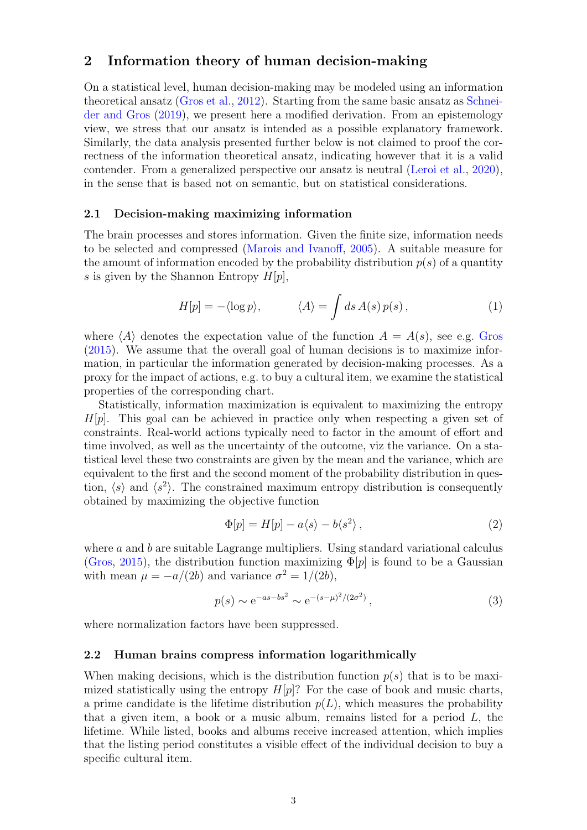## 2 Information theory of human decision-making

On a statistical level, human decision-making may be modeled using an information theoretical ansatz [\(Gros et al.,](#page-13-6) [2012\)](#page-13-6). Starting from the same basic ansatz as [Schnei](#page-14-5)[der and Gros](#page-14-5) [\(2019\)](#page-14-5), we present here a modified derivation. From an epistemology view, we stress that our ansatz is intended as a possible explanatory framework. Similarly, the data analysis presented further below is not claimed to proof the correctness of the information theoretical ansatz, indicating however that it is a valid contender. From a generalized perspective our ansatz is neutral [\(Leroi et al.,](#page-13-7) [2020\)](#page-13-7), in the sense that is based not on semantic, but on statistical considerations.

#### 2.1 Decision-making maximizing information

The brain processes and stores information. Given the finite size, information needs to be selected and compressed [\(Marois and Ivanoff,](#page-13-8) [2005\)](#page-13-8). A suitable measure for the amount of information encoded by the probability distribution  $p(s)$  of a quantity s is given by the Shannon Entropy  $H[p]$ ,

$$
H[p] = -\langle \log p \rangle, \qquad \langle A \rangle = \int ds \, A(s) \, p(s) \,, \tag{1}
$$

where  $\langle A \rangle$  denotes the expectation value of the function  $A = A(s)$ , see e.g. [Gros](#page-13-9) [\(2015\)](#page-13-9). We assume that the overall goal of human decisions is to maximize information, in particular the information generated by decision-making processes. As a proxy for the impact of actions, e.g. to buy a cultural item, we examine the statistical properties of the corresponding chart.

Statistically, information maximization is equivalent to maximizing the entropy  $H[p]$ . This goal can be achieved in practice only when respecting a given set of constraints. Real-world actions typically need to factor in the amount of effort and time involved, as well as the uncertainty of the outcome, viz the variance. On a statistical level these two constraints are given by the mean and the variance, which are equivalent to the first and the second moment of the probability distribution in question,  $\langle s \rangle$  and  $\langle s^2 \rangle$ . The constrained maximum entropy distribution is consequently obtained by maximizing the objective function

$$
\Phi[p] = H[p] - a\langle s \rangle - b\langle s^2 \rangle, \qquad (2)
$$

where  $a$  and  $b$  are suitable Lagrange multipliers. Using standard variational calculus [\(Gros,](#page-13-9) [2015\)](#page-13-9), the distribution function maximizing  $\Phi[p]$  is found to be a Gaussian with mean  $\mu = -a/(2b)$  and variance  $\sigma^2 = 1/(2b)$ ,

<span id="page-2-0"></span>
$$
p(s) \sim e^{-as - bs^2} \sim e^{-(s - \mu)^2/(2\sigma^2)},
$$
\n(3)

where normalization factors have been suppressed.

#### 2.2 Human brains compress information logarithmically

When making decisions, which is the distribution function  $p(s)$  that is to be maximized statistically using the entropy  $H[p]$ ? For the case of book and music charts, a prime candidate is the lifetime distribution  $p(L)$ , which measures the probability that a given item, a book or a music album, remains listed for a period  $L$ , the lifetime. While listed, books and albums receive increased attention, which implies that the listing period constitutes a visible effect of the individual decision to buy a specific cultural item.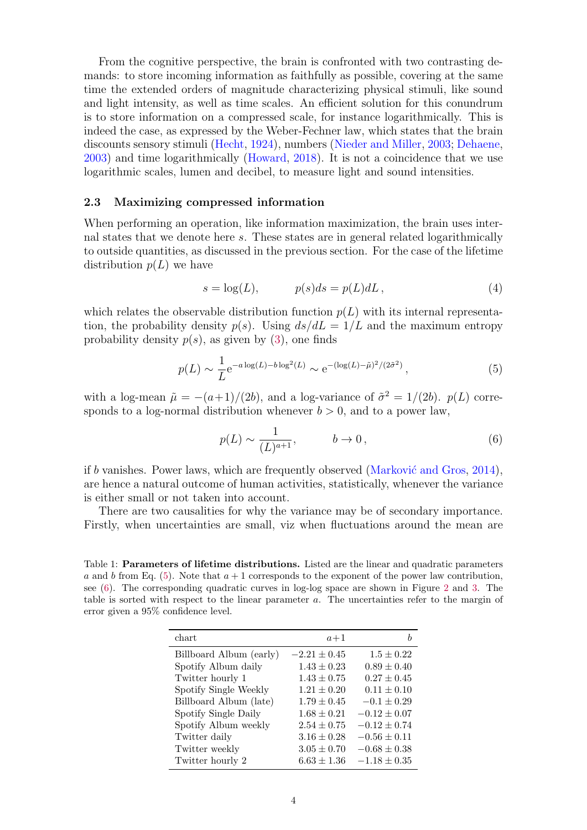From the cognitive perspective, the brain is confronted with two contrasting demands: to store incoming information as faithfully as possible, covering at the same time the extended orders of magnitude characterizing physical stimuli, like sound and light intensity, as well as time scales. An efficient solution for this conundrum is to store information on a compressed scale, for instance logarithmically. This is indeed the case, as expressed by the Weber-Fechner law, which states that the brain discounts sensory stimuli [\(Hecht,](#page-13-10) [1924\)](#page-13-10), numbers [\(Nieder and Miller,](#page-14-13) [2003;](#page-14-13) [Dehaene,](#page-13-11) [2003\)](#page-13-11) and time logarithmically [\(Howard,](#page-13-12) [2018\)](#page-13-12). It is not a coincidence that we use logarithmic scales, lumen and decibel, to measure light and sound intensities.

#### <span id="page-3-3"></span>2.3 Maximizing compressed information

When performing an operation, like information maximization, the brain uses internal states that we denote here s. These states are in general related logarithmically to outside quantities, as discussed in the previous section. For the case of the lifetime distribution  $p(L)$  we have

$$
s = \log(L), \qquad p(s)ds = p(L)dL, \tag{4}
$$

which relates the observable distribution function  $p(L)$  with its internal representation, the probability density  $p(s)$ . Using  $ds/dL = 1/L$  and the maximum entropy probability density  $p(s)$ , as given by [\(3\)](#page-2-0), one finds

<span id="page-3-0"></span>
$$
p(L) \sim \frac{1}{L} e^{-a \log(L) - b \log^2(L)} \sim e^{-(\log(L) - \tilde{\mu})^2 / (2\tilde{\sigma}^2)},
$$
\n(5)

with a log-mean  $\tilde{\mu} = -(a+1)/(2b)$ , and a log-variance of  $\tilde{\sigma}^2 = 1/(2b)$ .  $p(L)$  corresponds to a log-normal distribution whenever  $b > 0$ , and to a power law,

<span id="page-3-1"></span>
$$
p(L) \sim \frac{1}{(L)^{a+1}}, \qquad b \to 0, \qquad (6)
$$

if b vanishes. Power laws, which are frequently observed (Marković and Gros,  $2014$ ), are hence a natural outcome of human activities, statistically, whenever the variance is either small or not taken into account.

There are two causalities for why the variance may be of secondary importance. Firstly, when uncertainties are small, viz when fluctuations around the mean are

<span id="page-3-2"></span>Table 1: **Parameters of lifetime distributions.** Listed are the linear and quadratic parameters a and b from Eq.  $(5)$ . Note that  $a + 1$  corresponds to the exponent of the power law contribution, see [\(6\)](#page-3-1). The corresponding quadratic curves in log-log space are shown in Figure [2](#page-6-0) and [3.](#page-7-0) The table is sorted with respect to the linear parameter a. The uncertainties refer to the margin of error given a 95% confidence level.

| chart                   | $a+1$            |                  |
|-------------------------|------------------|------------------|
| Billboard Album (early) | $-2.21 \pm 0.45$ | $1.5 \pm 0.22$   |
| Spotify Album daily     | $1.43 \pm 0.23$  | $0.89 \pm 0.40$  |
| Twitter hourly 1        | $1.43 \pm 0.75$  | $0.27 \pm 0.45$  |
| Spotify Single Weekly   | $1.21 \pm 0.20$  | $0.11 \pm 0.10$  |
| Billboard Album (late)  | $1.79 \pm 0.45$  | $-0.1 \pm 0.29$  |
| Spotify Single Daily    | $1.68 \pm 0.21$  | $-0.12 \pm 0.07$ |
| Spotify Album weekly    | $2.54 \pm 0.75$  | $-0.12 \pm 0.74$ |
| Twitter daily           | $3.16 \pm 0.28$  | $-0.56 \pm 0.11$ |
| Twitter weekly          | $3.05 \pm 0.70$  | $-0.68 \pm 0.38$ |
| Twitter hourly 2        | $6.63 \pm 1.36$  | $-1.18 \pm 0.35$ |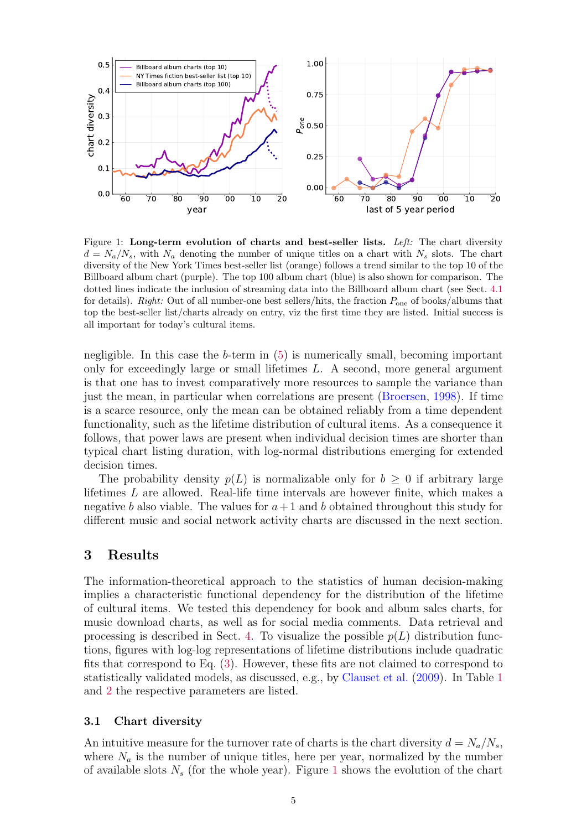

<span id="page-4-0"></span>Figure 1: Long-term evolution of charts and best-seller lists. Left: The chart diversity  $d = N_a/N_s$ , with  $N_a$  denoting the number of unique titles on a chart with  $N_s$  slots. The chart diversity of the New York Times best-seller list (orange) follows a trend similar to the top 10 of the Billboard album chart (purple). The top 100 album chart (blue) is also shown for comparison. The dotted lines indicate the inclusion of streaming data into the Billboard album chart (see Sect. [4.1](#page-9-0) for details). Right: Out of all number-one best sellers/hits, the fraction  $P_{one}$  of books/albums that top the best-seller list/charts already on entry, viz the first time they are listed. Initial success is all important for today's cultural items.

negligible. In this case the  $b$ -term in  $(5)$  is numerically small, becoming important only for exceedingly large or small lifetimes L. A second, more general argument is that one has to invest comparatively more resources to sample the variance than just the mean, in particular when correlations are present [\(Broersen,](#page-13-14) [1998\)](#page-13-14). If time is a scarce resource, only the mean can be obtained reliably from a time dependent functionality, such as the lifetime distribution of cultural items. As a consequence it follows, that power laws are present when individual decision times are shorter than typical chart listing duration, with log-normal distributions emerging for extended decision times.

The probability density  $p(L)$  is normalizable only for  $b \geq 0$  if arbitrary large lifetimes L are allowed. Real-life time intervals are however finite, which makes a negative b also viable. The values for  $a+1$  and b obtained throughout this study for different music and social network activity charts are discussed in the next section.

# 3 Results

The information-theoretical approach to the statistics of human decision-making implies a characteristic functional dependency for the distribution of the lifetime of cultural items. We tested this dependency for book and album sales charts, for music download charts, as well as for social media comments. Data retrieval and processing is described in Sect. [4.](#page-9-1) To visualize the possible  $p(L)$  distribution functions, figures with log-log representations of lifetime distributions include quadratic fits that correspond to Eq. [\(3\)](#page-2-0). However, these fits are not claimed to correspond to statistically validated models, as discussed, e.g., by [Clauset et al.](#page-13-15) [\(2009\)](#page-13-15). In Table [1](#page-3-2) and [2](#page-5-0) the respective parameters are listed.

#### 3.1 Chart diversity

An intuitive measure for the turnover rate of charts is the chart diversity  $d = N_a/N_s$ , where  $N_a$  is the number of unique titles, here per year, normalized by the number of available slots  $N_s$  (for the whole year). Figure [1](#page-4-0) shows the evolution of the chart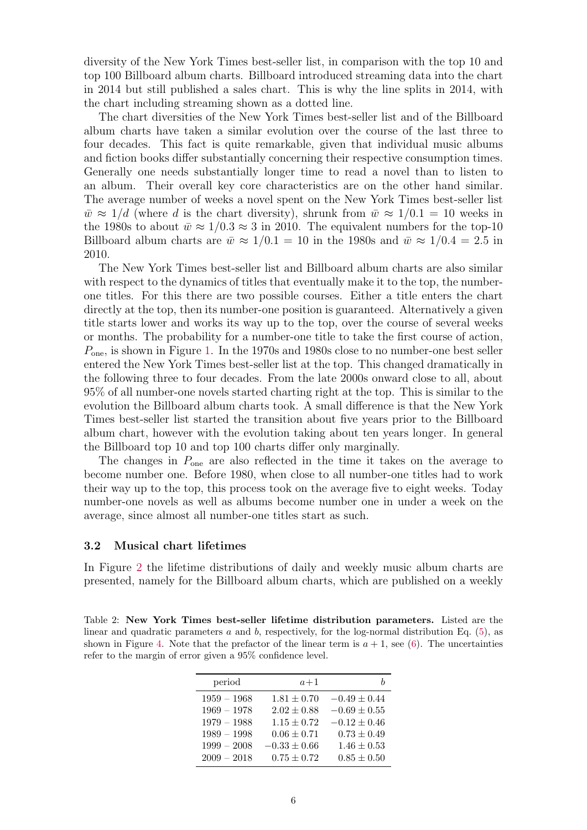diversity of the New York Times best-seller list, in comparison with the top 10 and top 100 Billboard album charts. Billboard introduced streaming data into the chart in 2014 but still published a sales chart. This is why the line splits in 2014, with the chart including streaming shown as a dotted line.

The chart diversities of the New York Times best-seller list and of the Billboard album charts have taken a similar evolution over the course of the last three to four decades. This fact is quite remarkable, given that individual music albums and fiction books differ substantially concerning their respective consumption times. Generally one needs substantially longer time to read a novel than to listen to an album. Their overall key core characteristics are on the other hand similar. The average number of weeks a novel spent on the New York Times best-seller list  $\bar{w} \approx 1/d$  (where d is the chart diversity), shrunk from  $\bar{w} \approx 1/0.1 = 10$  weeks in the 1980s to about  $\bar{w} \approx 1/0.3 \approx 3$  in 2010. The equivalent numbers for the top-10 Billboard album charts are  $\bar{w} \approx 1/0.1 = 10$  in the 1980s and  $\bar{w} \approx 1/0.4 = 2.5$  in 2010.

The New York Times best-seller list and Billboard album charts are also similar with respect to the dynamics of titles that eventually make it to the top, the numberone titles. For this there are two possible courses. Either a title enters the chart directly at the top, then its number-one position is guaranteed. Alternatively a given title starts lower and works its way up to the top, over the course of several weeks or months. The probability for a number-one title to take the first course of action,  $P_{one}$ , is shown in Figure [1.](#page-4-0) In the 1970s and 1980s close to no number-one best seller entered the New York Times best-seller list at the top. This changed dramatically in the following three to four decades. From the late 2000s onward close to all, about 95% of all number-one novels started charting right at the top. This is similar to the evolution the Billboard album charts took. A small difference is that the New York Times best-seller list started the transition about five years prior to the Billboard album chart, however with the evolution taking about ten years longer. In general the Billboard top 10 and top 100 charts differ only marginally.

The changes in  $P_{one}$  are also reflected in the time it takes on the average to become number one. Before 1980, when close to all number-one titles had to work their way up to the top, this process took on the average five to eight weeks. Today number-one novels as well as albums become number one in under a week on the average, since almost all number-one titles start as such.

### 3.2 Musical chart lifetimes

In Figure [2](#page-6-0) the lifetime distributions of daily and weekly music album charts are presented, namely for the Billboard album charts, which are published on a weekly

<span id="page-5-0"></span>Table 2: New York Times best-seller lifetime distribution parameters. Listed are the linear and quadratic parameters a and b, respectively, for the log-normal distribution Eq.  $(5)$ , as shown in Figure [4.](#page-8-0) Note that the prefactor of the linear term is  $a + 1$ , see [\(6\)](#page-3-1). The uncertainties refer to the margin of error given a 95% confidence level.

| period        | $a+1$            |                  |
|---------------|------------------|------------------|
| $1959 - 1968$ | $1.81 \pm 0.70$  | $-0.49 \pm 0.44$ |
| $1969 - 1978$ | $2.02 \pm 0.88$  | $-0.69\pm0.55$   |
| $1979 - 1988$ | $1.15 \pm 0.72$  | $-0.12 \pm 0.46$ |
| $1989 - 1998$ | $0.06 \pm 0.71$  | $0.73 \pm 0.49$  |
| $1999 - 2008$ | $-0.33 \pm 0.66$ | $1.46 \pm 0.53$  |
| $2009 - 2018$ | $0.75 \pm 0.72$  | $0.85 \pm 0.50$  |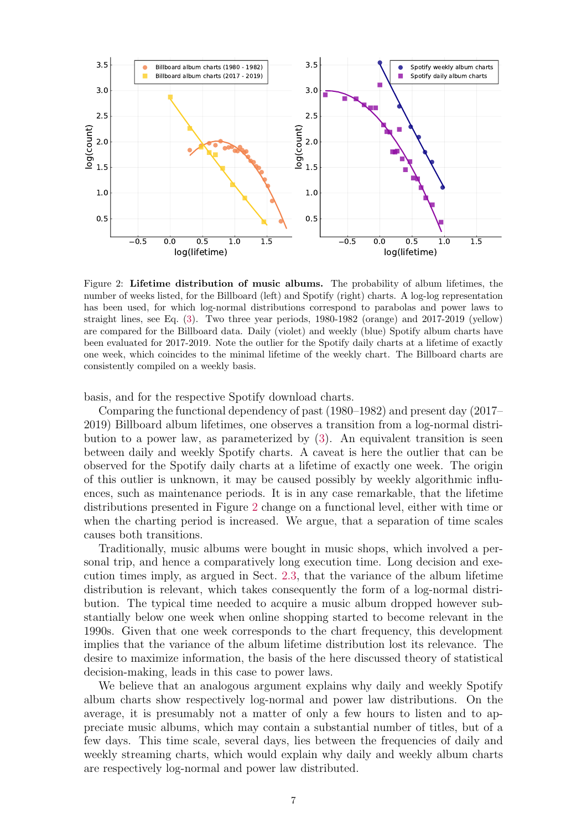

<span id="page-6-0"></span>Figure 2: Lifetime distribution of music albums. The probability of album lifetimes, the number of weeks listed, for the Billboard (left) and Spotify (right) charts. A log-log representation has been used, for which log-normal distributions correspond to parabolas and power laws to straight lines, see Eq.  $(3)$ . Two three year periods, 1980-1982 (orange) and 2017-2019 (yellow) are compared for the Billboard data. Daily (violet) and weekly (blue) Spotify album charts have been evaluated for 2017-2019. Note the outlier for the Spotify daily charts at a lifetime of exactly one week, which coincides to the minimal lifetime of the weekly chart. The Billboard charts are consistently compiled on a weekly basis.

basis, and for the respective Spotify download charts.

Comparing the functional dependency of past (1980–1982) and present day (2017– 2019) Billboard album lifetimes, one observes a transition from a log-normal distribution to a power law, as parameterized by [\(3\)](#page-2-0). An equivalent transition is seen between daily and weekly Spotify charts. A caveat is here the outlier that can be observed for the Spotify daily charts at a lifetime of exactly one week. The origin of this outlier is unknown, it may be caused possibly by weekly algorithmic influences, such as maintenance periods. It is in any case remarkable, that the lifetime distributions presented in Figure [2](#page-6-0) change on a functional level, either with time or when the charting period is increased. We argue, that a separation of time scales causes both transitions.

Traditionally, music albums were bought in music shops, which involved a personal trip, and hence a comparatively long execution time. Long decision and execution times imply, as argued in Sect. [2.3,](#page-3-3) that the variance of the album lifetime distribution is relevant, which takes consequently the form of a log-normal distribution. The typical time needed to acquire a music album dropped however substantially below one week when online shopping started to become relevant in the 1990s. Given that one week corresponds to the chart frequency, this development implies that the variance of the album lifetime distribution lost its relevance. The desire to maximize information, the basis of the here discussed theory of statistical decision-making, leads in this case to power laws.

We believe that an analogous argument explains why daily and weekly Spotify album charts show respectively log-normal and power law distributions. On the average, it is presumably not a matter of only a few hours to listen and to appreciate music albums, which may contain a substantial number of titles, but of a few days. This time scale, several days, lies between the frequencies of daily and weekly streaming charts, which would explain why daily and weekly album charts are respectively log-normal and power law distributed.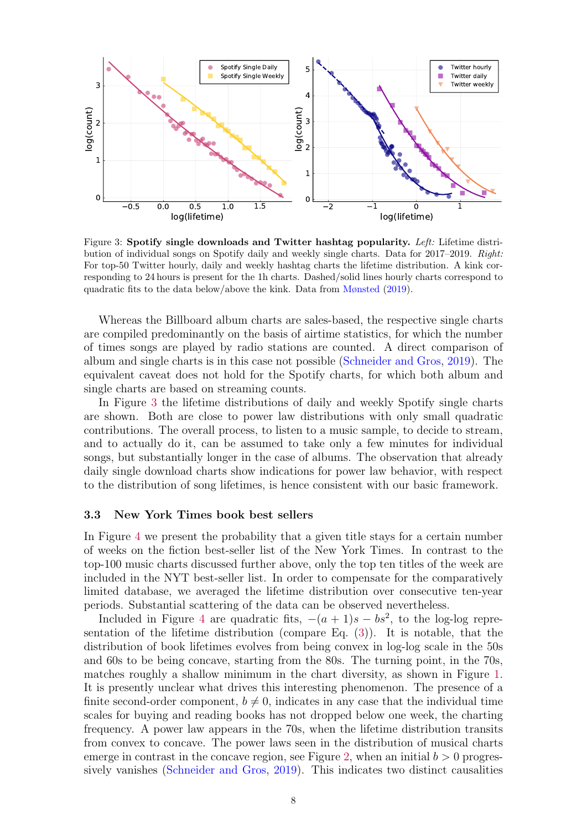

<span id="page-7-0"></span>Figure 3: Spotify single downloads and Twitter hashtag popularity. Left: Lifetime distribution of individual songs on Spotify daily and weekly single charts. Data for 2017–2019. Right: For top-50 Twitter hourly, daily and weekly hashtag charts the lifetime distribution. A kink corresponding to 24 hours is present for the 1h charts. Dashed/solid lines hourly charts correspond to quadratic fits to the data below/above the kink. Data from [Mønsted](#page-14-14) [\(2019\)](#page-14-14).

Whereas the Billboard album charts are sales-based, the respective single charts are compiled predominantly on the basis of airtime statistics, for which the number of times songs are played by radio stations are counted. A direct comparison of album and single charts is in this case not possible [\(Schneider and Gros,](#page-14-5) [2019\)](#page-14-5). The equivalent caveat does not hold for the Spotify charts, for which both album and single charts are based on streaming counts.

In Figure [3](#page-7-0) the lifetime distributions of daily and weekly Spotify single charts are shown. Both are close to power law distributions with only small quadratic contributions. The overall process, to listen to a music sample, to decide to stream, and to actually do it, can be assumed to take only a few minutes for individual songs, but substantially longer in the case of albums. The observation that already daily single download charts show indications for power law behavior, with respect to the distribution of song lifetimes, is hence consistent with our basic framework.

#### 3.3 New York Times book best sellers

In Figure [4](#page-8-0) we present the probability that a given title stays for a certain number of weeks on the fiction best-seller list of the New York Times. In contrast to the top-100 music charts discussed further above, only the top ten titles of the week are included in the NYT best-seller list. In order to compensate for the comparatively limited database, we averaged the lifetime distribution over consecutive ten-year periods. Substantial scattering of the data can be observed nevertheless.

Included in Figure [4](#page-8-0) are quadratic fits,  $-(a+1)s - bs^2$ , to the log-log representation of the lifetime distribution (compare Eq. [\(3\)](#page-2-0)). It is notable, that the distribution of book lifetimes evolves from being convex in log-log scale in the 50s and 60s to be being concave, starting from the 80s. The turning point, in the 70s, matches roughly a shallow minimum in the chart diversity, as shown in Figure [1.](#page-4-0) It is presently unclear what drives this interesting phenomenon. The presence of a finite second-order component,  $b \neq 0$ , indicates in any case that the individual time scales for buying and reading books has not dropped below one week, the charting frequency. A power law appears in the 70s, when the lifetime distribution transits from convex to concave. The power laws seen in the distribution of musical charts emerge in contrast in the concave region, see Figure [2,](#page-6-0) when an initial  $b > 0$  progres-sively vanishes [\(Schneider and Gros,](#page-14-5) [2019\)](#page-14-5). This indicates two distinct causalities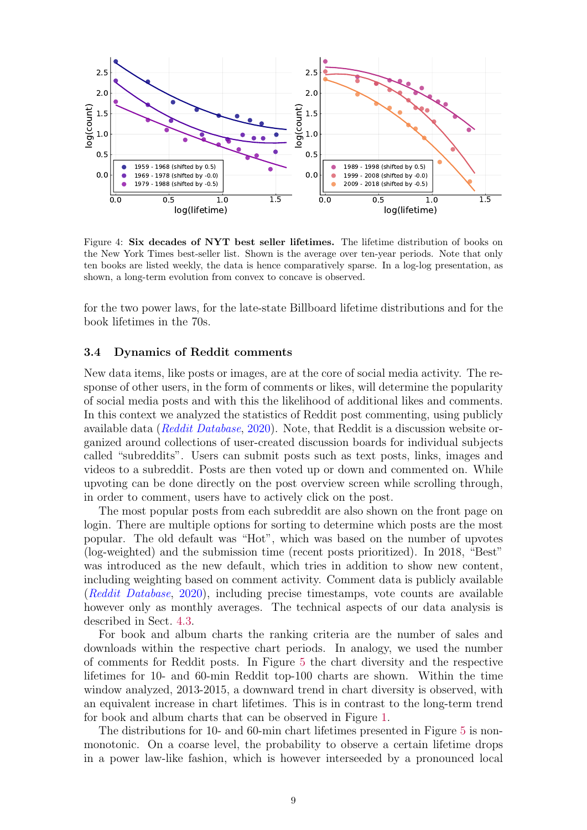

<span id="page-8-0"></span>Figure 4: Six decades of NYT best seller lifetimes. The lifetime distribution of books on the New York Times best-seller list. Shown is the average over ten-year periods. Note that only ten books are listed weekly, the data is hence comparatively sparse. In a log-log presentation, as shown, a long-term evolution from convex to concave is observed.

for the two power laws, for the late-state Billboard lifetime distributions and for the book lifetimes in the 70s.

### 3.4 Dynamics of Reddit comments

New data items, like posts or images, are at the core of social media activity. The response of other users, in the form of comments or likes, will determine the popularity of social media posts and with this the likelihood of additional likes and comments. In this context we analyzed the statistics of Reddit post commenting, using publicly available data ([Reddit Database](#page-14-15), [2020\)](#page-14-15). Note, that Reddit is a discussion website organized around collections of user-created discussion boards for individual subjects called "subreddits". Users can submit posts such as text posts, links, images and videos to a subreddit. Posts are then voted up or down and commented on. While upvoting can be done directly on the post overview screen while scrolling through, in order to comment, users have to actively click on the post.

The most popular posts from each subreddit are also shown on the front page on login. There are multiple options for sorting to determine which posts are the most popular. The old default was "Hot", which was based on the number of upvotes (log-weighted) and the submission time (recent posts prioritized). In 2018, "Best" was introduced as the new default, which tries in addition to show new content, including weighting based on comment activity. Comment data is publicly available ([Reddit Database](#page-14-15), [2020\)](#page-14-15), including precise timestamps, vote counts are available however only as monthly averages. The technical aspects of our data analysis is described in Sect. [4.3.](#page-10-0)

For book and album charts the ranking criteria are the number of sales and downloads within the respective chart periods. In analogy, we used the number of comments for Reddit posts. In Figure [5](#page-10-1) the chart diversity and the respective lifetimes for 10- and 60-min Reddit top-100 charts are shown. Within the time window analyzed, 2013-2015, a downward trend in chart diversity is observed, with an equivalent increase in chart lifetimes. This is in contrast to the long-term trend for book and album charts that can be observed in Figure [1.](#page-4-0)

The distributions for 10- and 60-min chart lifetimes presented in Figure [5](#page-10-1) is nonmonotonic. On a coarse level, the probability to observe a certain lifetime drops in a power law-like fashion, which is however interseeded by a pronounced local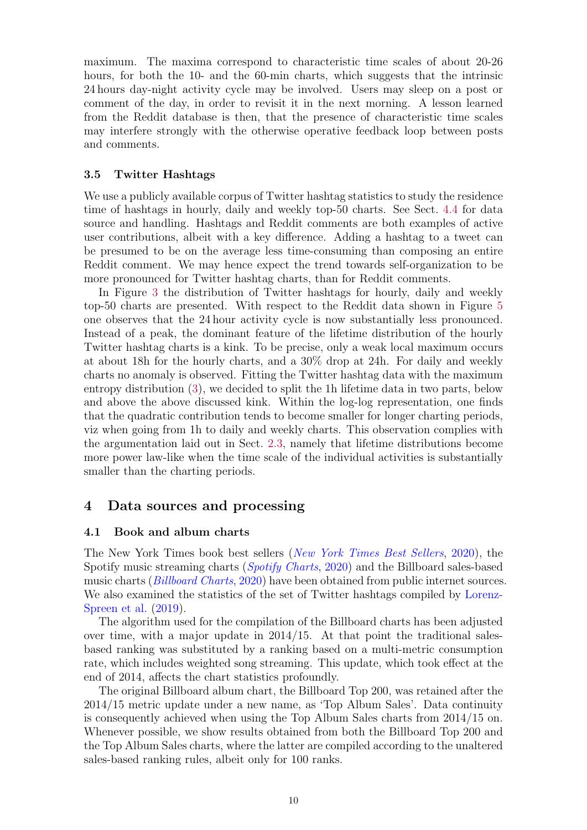maximum. The maxima correspond to characteristic time scales of about 20-26 hours, for both the 10- and the 60-min charts, which suggests that the intrinsic 24 hours day-night activity cycle may be involved. Users may sleep on a post or comment of the day, in order to revisit it in the next morning. A lesson learned from the Reddit database is then, that the presence of characteristic time scales may interfere strongly with the otherwise operative feedback loop between posts and comments.

### 3.5 Twitter Hashtags

We use a publicly available corpus of Twitter hashtag statistics to study the residence time of hashtags in hourly, daily and weekly top-50 charts. See Sect. [4.4](#page-11-0) for data source and handling. Hashtags and Reddit comments are both examples of active user contributions, albeit with a key difference. Adding a hashtag to a tweet can be presumed to be on the average less time-consuming than composing an entire Reddit comment. We may hence expect the trend towards self-organization to be more pronounced for Twitter hashtag charts, than for Reddit comments.

In Figure [3](#page-7-0) the distribution of Twitter hashtags for hourly, daily and weekly top-50 charts are presented. With respect to the Reddit data shown in Figure [5](#page-10-1) one observes that the 24 hour activity cycle is now substantially less pronounced. Instead of a peak, the dominant feature of the lifetime distribution of the hourly Twitter hashtag charts is a kink. To be precise, only a weak local maximum occurs at about 18h for the hourly charts, and a 30% drop at 24h. For daily and weekly charts no anomaly is observed. Fitting the Twitter hashtag data with the maximum entropy distribution [\(3\)](#page-2-0), we decided to split the 1h lifetime data in two parts, below and above the above discussed kink. Within the log-log representation, one finds that the quadratic contribution tends to become smaller for longer charting periods, viz when going from 1h to daily and weekly charts. This observation complies with the argumentation laid out in Sect. [2.3,](#page-3-3) namely that lifetime distributions become more power law-like when the time scale of the individual activities is substantially smaller than the charting periods.

# <span id="page-9-1"></span>4 Data sources and processing

### <span id="page-9-0"></span>4.1 Book and album charts

The New York Times book best sellers ([New York Times Best Sellers](#page-14-16), [2020\)](#page-14-16), the Spotify music streaming charts ([Spotify Charts](#page-14-17), [2020\)](#page-14-17) and the Billboard sales-based music charts (*[Billboard Charts](#page-13-16)*, [2020\)](#page-13-16) have been obtained from public internet sources. We also examined the statistics of the set of Twitter hashtags compiled by [Lorenz-](#page-13-4)[Spreen et al.](#page-13-4) [\(2019\)](#page-13-4).

The algorithm used for the compilation of the Billboard charts has been adjusted over time, with a major update in 2014/15. At that point the traditional salesbased ranking was substituted by a ranking based on a multi-metric consumption rate, which includes weighted song streaming. This update, which took effect at the end of 2014, affects the chart statistics profoundly.

The original Billboard album chart, the Billboard Top 200, was retained after the 2014/15 metric update under a new name, as 'Top Album Sales'. Data continuity is consequently achieved when using the Top Album Sales charts from 2014/15 on. Whenever possible, we show results obtained from both the Billboard Top 200 and the Top Album Sales charts, where the latter are compiled according to the unaltered sales-based ranking rules, albeit only for 100 ranks.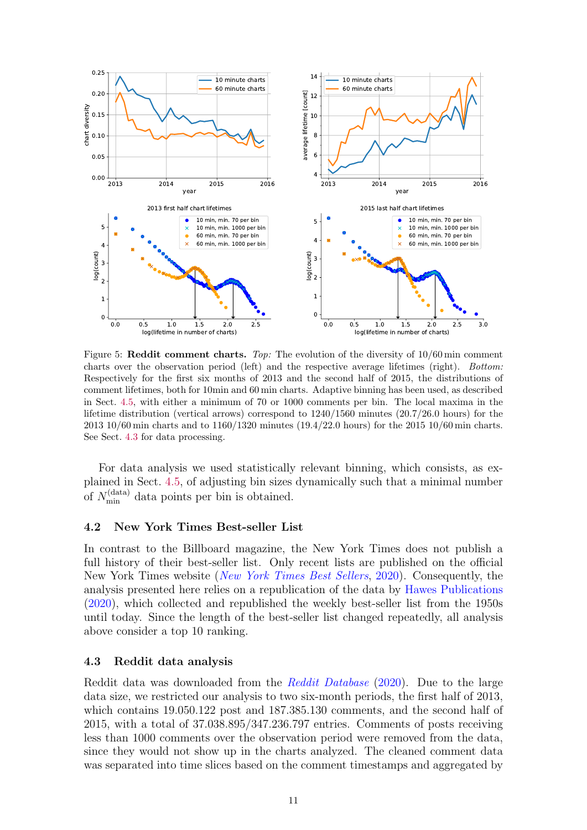

<span id="page-10-1"></span>Figure 5: Reddit comment charts. Top: The evolution of the diversity of  $10/60$  min comment charts over the observation period (left) and the respective average lifetimes (right). Bottom: Respectively for the first six months of 2013 and the second half of 2015, the distributions of comment lifetimes, both for 10min and 60 min charts. Adaptive binning has been used, as described in Sect. [4.5,](#page-11-1) with either a minimum of 70 or 1000 comments per bin. The local maxima in the lifetime distribution (vertical arrows) correspond to 1240/1560 minutes (20.7/26.0 hours) for the 2013 10/60 min charts and to 1160/1320 minutes (19.4/22.0 hours) for the 2015 10/60 min charts. See Sect. [4.3](#page-10-0) for data processing.

For data analysis we used statistically relevant binning, which consists, as explained in Sect. [4.5,](#page-11-1) of adjusting bin sizes dynamically such that a minimal number of  $N_{\min}^{(data)}$  data points per bin is obtained.

#### 4.2 New York Times Best-seller List

In contrast to the Billboard magazine, the New York Times does not publish a full history of their best-seller list. Only recent lists are published on the official New York Times website ([New York Times Best Sellers](#page-14-16), [2020\)](#page-14-16). Consequently, the analysis presented here relies on a republication of the data by [Hawes Publications](#page-13-17) [\(2020\)](#page-13-17), which collected and republished the weekly best-seller list from the 1950s until today. Since the length of the best-seller list changed repeatedly, all analysis above consider a top 10 ranking.

#### <span id="page-10-0"></span>4.3 Reddit data analysis

Reddit data was downloaded from the [Reddit Database](#page-14-15) [\(2020\)](#page-14-15). Due to the large data size, we restricted our analysis to two six-month periods, the first half of 2013, which contains 19.050.122 post and 187.385.130 comments, and the second half of 2015, with a total of 37.038.895/347.236.797 entries. Comments of posts receiving less than 1000 comments over the observation period were removed from the data, since they would not show up in the charts analyzed. The cleaned comment data was separated into time slices based on the comment timestamps and aggregated by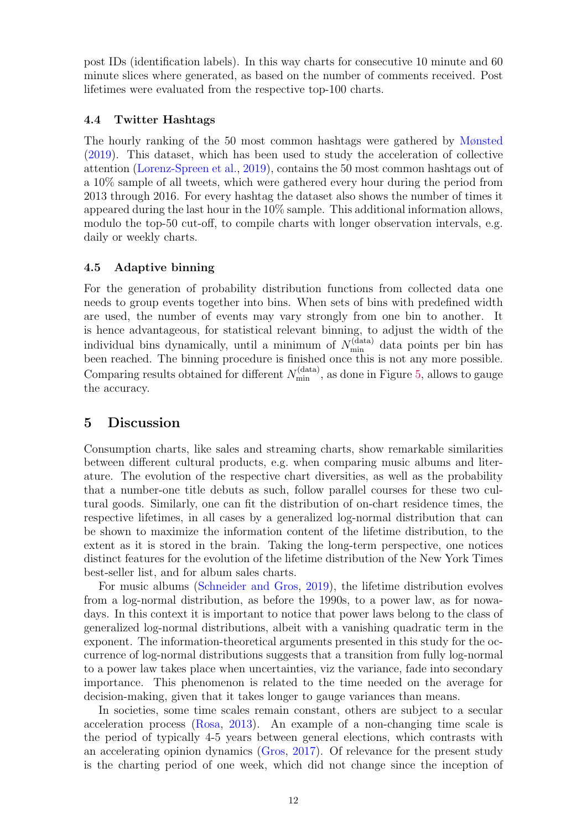post IDs (identification labels). In this way charts for consecutive 10 minute and 60 minute slices where generated, as based on the number of comments received. Post lifetimes were evaluated from the respective top-100 charts.

### <span id="page-11-0"></span>4.4 Twitter Hashtags

The hourly ranking of the 50 most common hashtags were gathered by [Mønsted](#page-14-14) [\(2019\)](#page-14-14). This dataset, which has been used to study the acceleration of collective attention [\(Lorenz-Spreen et al.,](#page-13-4) [2019\)](#page-13-4), contains the 50 most common hashtags out of a 10% sample of all tweets, which were gathered every hour during the period from 2013 through 2016. For every hashtag the dataset also shows the number of times it appeared during the last hour in the 10% sample. This additional information allows, modulo the top-50 cut-off, to compile charts with longer observation intervals, e.g. daily or weekly charts.

### <span id="page-11-1"></span>4.5 Adaptive binning

For the generation of probability distribution functions from collected data one needs to group events together into bins. When sets of bins with predefined width are used, the number of events may vary strongly from one bin to another. It is hence advantageous, for statistical relevant binning, to adjust the width of the individual bins dynamically, until a minimum of  $N_{\min}^{\text{(data)}}$  data points per bin has been reached. The binning procedure is finished once this is not any more possible. Comparing results obtained for different  $N_{\min}^{(\text{data})}$ , as done in Figure [5,](#page-10-1) allows to gauge the accuracy.

# 5 Discussion

Consumption charts, like sales and streaming charts, show remarkable similarities between different cultural products, e.g. when comparing music albums and literature. The evolution of the respective chart diversities, as well as the probability that a number-one title debuts as such, follow parallel courses for these two cultural goods. Similarly, one can fit the distribution of on-chart residence times, the respective lifetimes, in all cases by a generalized log-normal distribution that can be shown to maximize the information content of the lifetime distribution, to the extent as it is stored in the brain. Taking the long-term perspective, one notices distinct features for the evolution of the lifetime distribution of the New York Times best-seller list, and for album sales charts.

For music albums [\(Schneider and Gros,](#page-14-5) [2019\)](#page-14-5), the lifetime distribution evolves from a log-normal distribution, as before the 1990s, to a power law, as for nowadays. In this context it is important to notice that power laws belong to the class of generalized log-normal distributions, albeit with a vanishing quadratic term in the exponent. The information-theoretical arguments presented in this study for the occurrence of log-normal distributions suggests that a transition from fully log-normal to a power law takes place when uncertainties, viz the variance, fade into secondary importance. This phenomenon is related to the time needed on the average for decision-making, given that it takes longer to gauge variances than means.

In societies, some time scales remain constant, others are subject to a secular acceleration process [\(Rosa,](#page-14-6) [2013\)](#page-14-6). An example of a non-changing time scale is the period of typically 4-5 years between general elections, which contrasts with an accelerating opinion dynamics [\(Gros,](#page-13-18) [2017\)](#page-13-18). Of relevance for the present study is the charting period of one week, which did not change since the inception of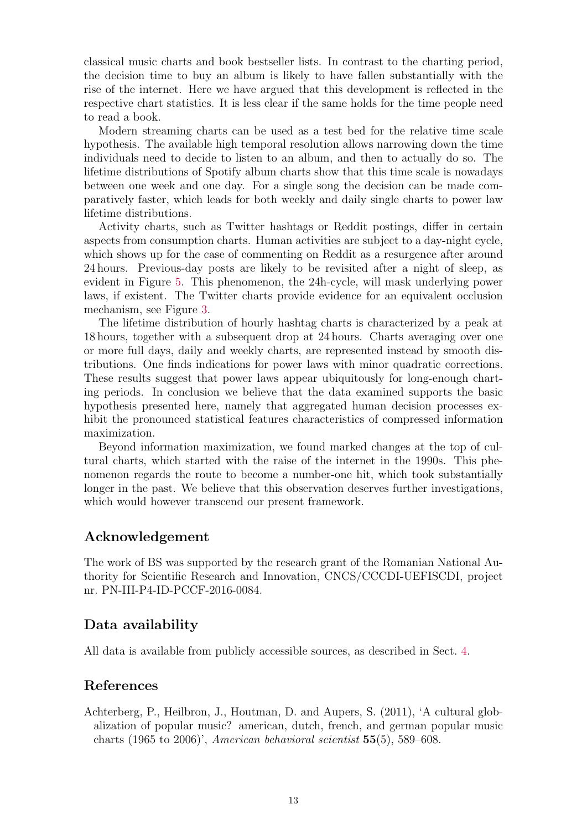classical music charts and book bestseller lists. In contrast to the charting period, the decision time to buy an album is likely to have fallen substantially with the rise of the internet. Here we have argued that this development is reflected in the respective chart statistics. It is less clear if the same holds for the time people need to read a book.

Modern streaming charts can be used as a test bed for the relative time scale hypothesis. The available high temporal resolution allows narrowing down the time individuals need to decide to listen to an album, and then to actually do so. The lifetime distributions of Spotify album charts show that this time scale is nowadays between one week and one day. For a single song the decision can be made comparatively faster, which leads for both weekly and daily single charts to power law lifetime distributions.

Activity charts, such as Twitter hashtags or Reddit postings, differ in certain aspects from consumption charts. Human activities are subject to a day-night cycle, which shows up for the case of commenting on Reddit as a resurgence after around 24 hours. Previous-day posts are likely to be revisited after a night of sleep, as evident in Figure [5.](#page-10-1) This phenomenon, the 24h-cycle, will mask underlying power laws, if existent. The Twitter charts provide evidence for an equivalent occlusion mechanism, see Figure [3.](#page-7-0)

The lifetime distribution of hourly hashtag charts is characterized by a peak at 18 hours, together with a subsequent drop at 24 hours. Charts averaging over one or more full days, daily and weekly charts, are represented instead by smooth distributions. One finds indications for power laws with minor quadratic corrections. These results suggest that power laws appear ubiquitously for long-enough charting periods. In conclusion we believe that the data examined supports the basic hypothesis presented here, namely that aggregated human decision processes exhibit the pronounced statistical features characteristics of compressed information maximization.

Beyond information maximization, we found marked changes at the top of cultural charts, which started with the raise of the internet in the 1990s. This phenomenon regards the route to become a number-one hit, which took substantially longer in the past. We believe that this observation deserves further investigations, which would however transcend our present framework.

# Acknowledgement

The work of BS was supported by the research grant of the Romanian National Authority for Scientific Research and Innovation, CNCS/CCCDI-UEFISCDI, project nr. PN-III-P4-ID-PCCF-2016-0084.

# Data availability

All data is available from publicly accessible sources, as described in Sect. [4.](#page-9-1)

# References

<span id="page-12-0"></span>Achterberg, P., Heilbron, J., Houtman, D. and Aupers, S. (2011), 'A cultural globalization of popular music? american, dutch, french, and german popular music charts  $(1965 \text{ to } 2006)$ ', American behavioral scientist  $55(5)$ , 589–608.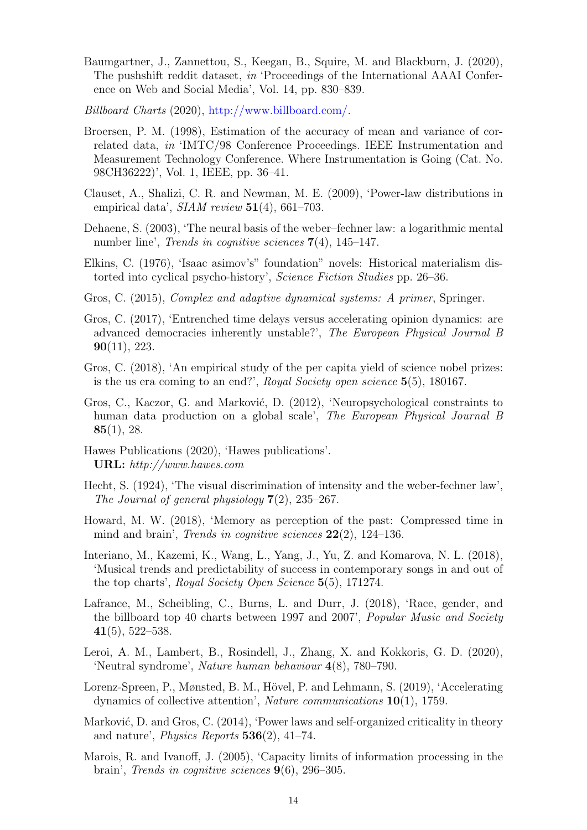- <span id="page-13-5"></span>Baumgartner, J., Zannettou, S., Keegan, B., Squire, M. and Blackburn, J. (2020), The pushshift reddit dataset, in 'Proceedings of the International AAAI Conference on Web and Social Media', Vol. 14, pp. 830–839.
- <span id="page-13-16"></span>Billboard Charts (2020), [http://www.billboard.com/.](http://www.billboard.com/)
- <span id="page-13-14"></span>Broersen, P. M. (1998), Estimation of the accuracy of mean and variance of correlated data, in 'IMTC/98 Conference Proceedings. IEEE Instrumentation and Measurement Technology Conference. Where Instrumentation is Going (Cat. No. 98CH36222)', Vol. 1, IEEE, pp. 36–41.
- <span id="page-13-15"></span>Clauset, A., Shalizi, C. R. and Newman, M. E. (2009), 'Power-law distributions in empirical data',  $SIAM$  review  $51(4)$ , 661-703.
- <span id="page-13-11"></span>Dehaene, S. (2003), 'The neural basis of the weber–fechner law: a logarithmic mental number line', *Trends in cognitive sciences* 7(4), 145–147.
- <span id="page-13-0"></span>Elkins, C. (1976), 'Isaac asimov's" foundation" novels: Historical materialism distorted into cyclical psycho-history', Science Fiction Studies pp. 26–36.
- <span id="page-13-9"></span>Gros, C. (2015), *Complex and adaptive dynamical systems: A primer*, Springer.
- <span id="page-13-18"></span>Gros, C. (2017), 'Entrenched time delays versus accelerating opinion dynamics: are advanced democracies inherently unstable?', The European Physical Journal B 90(11), 223.
- <span id="page-13-3"></span>Gros, C. (2018), 'An empirical study of the per capita yield of science nobel prizes: is the us era coming to an end?', Royal Society open science  $5(5)$ , 180167.
- <span id="page-13-6"></span>Gros, C., Kaczor, G. and Marković, D. (2012), 'Neuropsychological constraints to human data production on a global scale', The European Physical Journal B  $85(1), 28.$
- <span id="page-13-17"></span>Hawes Publications (2020), 'Hawes publications'. URL: http://www.hawes.com
- <span id="page-13-10"></span>Hecht, S. (1924), 'The visual discrimination of intensity and the weber-fechner law', The Journal of general physiology  $7(2)$ ,  $235-267$ .
- <span id="page-13-12"></span>Howard, M. W. (2018), 'Memory as perception of the past: Compressed time in mind and brain', *Trends in cognitive sciences*  $22(2)$ ,  $124-136$ .
- <span id="page-13-2"></span>Interiano, M., Kazemi, K., Wang, L., Yang, J., Yu, Z. and Komarova, N. L. (2018), 'Musical trends and predictability of success in contemporary songs in and out of the top charts', Royal Society Open Science 5(5), 171274.
- <span id="page-13-1"></span>Lafrance, M., Scheibling, C., Burns, L. and Durr, J. (2018), 'Race, gender, and the billboard top 40 charts between 1997 and 2007', Popular Music and Society  $41(5)$ , 522–538.
- <span id="page-13-7"></span>Leroi, A. M., Lambert, B., Rosindell, J., Zhang, X. and Kokkoris, G. D. (2020), 'Neutral syndrome', Nature human behaviour 4(8), 780–790.
- <span id="page-13-4"></span>Lorenz-Spreen, P., Mønsted, B. M., Hövel, P. and Lehmann, S. (2019), 'Accelerating dynamics of collective attention', Nature communications 10(1), 1759.
- <span id="page-13-13"></span>Marković, D. and Gros, C. (2014), 'Power laws and self-organized criticality in theory and nature', *Physics Reports*  $\mathbf{536}(2)$ , 41–74.
- <span id="page-13-8"></span>Marois, R. and Ivanoff, J. (2005), 'Capacity limits of information processing in the brain', *Trends in cognitive sciences*  $9(6)$ , 296-305.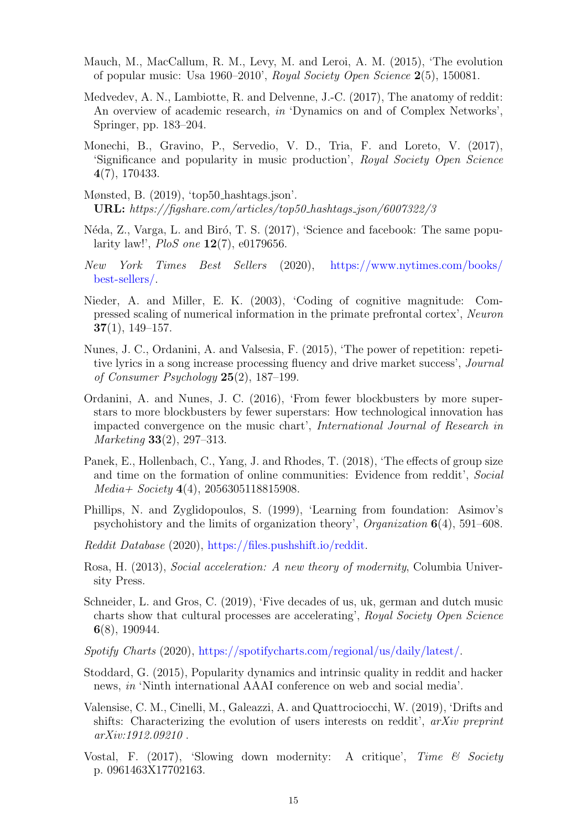- <span id="page-14-1"></span>Mauch, M., MacCallum, R. M., Levy, M. and Leroi, A. M. (2015), 'The evolution of popular music: Usa 1960–2010', Royal Society Open Science 2(5), 150081.
- <span id="page-14-9"></span>Medvedev, A. N., Lambiotte, R. and Delvenne, J.-C. (2017), The anatomy of reddit: An overview of academic research, in 'Dynamics on and of Complex Networks', Springer, pp. 183–204.
- <span id="page-14-4"></span>Monechi, B., Gravino, P., Servedio, V. D., Tria, F. and Loreto, V. (2017), 'Significance and popularity in music production', Royal Society Open Science 4(7), 170433.
- <span id="page-14-14"></span>Mønsted, B. (2019), 'top50 hashtags.json'. URL: https://figshare.com/articles/top50 hashtags json/6007322/3
- <span id="page-14-8"></span>Néda, Z., Varga, L. and Biró, T. S. (2017), 'Science and facebook: The same popularity law!', PloS one 12(7), e0179656.
- <span id="page-14-16"></span>New York Times Best Sellers (2020), [https://www.nytimes.com/books/](https://www.nytimes.com/books/best-sellers/) [best-sellers/.](https://www.nytimes.com/books/best-sellers/)
- <span id="page-14-13"></span>Nieder, A. and Miller, E. K. (2003), 'Coding of cognitive magnitude: Compressed scaling of numerical information in the primate prefrontal cortex', Neuron  $37(1), 149-157.$
- <span id="page-14-3"></span>Nunes, J. C., Ordanini, A. and Valsesia, F. (2015), 'The power of repetition: repetitive lyrics in a song increase processing fluency and drive market success', Journal of Consumer Psychology 25(2), 187–199.
- <span id="page-14-2"></span>Ordanini, A. and Nunes, J. C. (2016), 'From fewer blockbusters by more superstars to more blockbusters by fewer superstars: How technological innovation has impacted convergence on the music chart', International Journal of Research in Marketing 33(2), 297–313.
- <span id="page-14-11"></span>Panek, E., Hollenbach, C., Yang, J. and Rhodes, T. (2018), 'The effects of group size and time on the formation of online communities: Evidence from reddit', Social  $Median + Society 4(4), 2056305118815908.$
- <span id="page-14-0"></span>Phillips, N. and Zyglidopoulos, S. (1999), 'Learning from foundation: Asimov's psychohistory and the limits of organization theory', *Organization*  $6(4)$ , 591–608.
- <span id="page-14-15"></span>Reddit Database (2020), [https://files.pushshift.io/reddit.](https://files.pushshift.io/reddit)
- <span id="page-14-6"></span>Rosa, H. (2013), Social acceleration: A new theory of modernity, Columbia University Press.
- <span id="page-14-5"></span>Schneider, L. and Gros, C. (2019), 'Five decades of us, uk, german and dutch music charts show that cultural processes are accelerating', Royal Society Open Science 6(8), 190944.
- <span id="page-14-17"></span>Spotify Charts (2020), [https://spotifycharts.com/regional/us/daily/latest/.](https://spotifycharts.com/regional/us/daily/latest/)
- <span id="page-14-10"></span>Stoddard, G. (2015), Popularity dynamics and intrinsic quality in reddit and hacker news, in 'Ninth international AAAI conference on web and social media'.
- <span id="page-14-12"></span>Valensise, C. M., Cinelli, M., Galeazzi, A. and Quattrociocchi, W. (2019), 'Drifts and shifts: Characterizing the evolution of users interests on reddit',  $arXiv$  preprint arXiv:1912.09210 .
- <span id="page-14-7"></span>Vostal, F. (2017), 'Slowing down modernity: A critique', Time & Society p. 0961463X17702163.